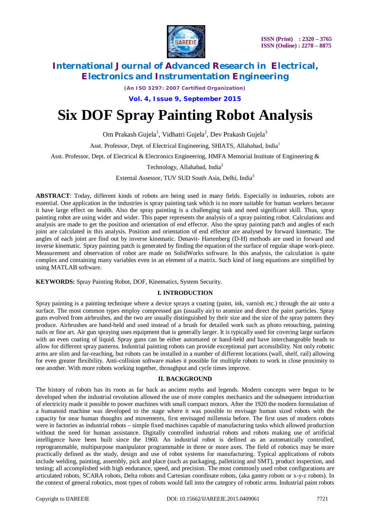

*(An ISO 3297: 2007 Certified Organization)*

**Vol. 4, Issue 9, September 2015**

# **Six DOF Spray Painting Robot Analysis**

Om Prakash Gujela<sup>1</sup>, Vidhatri Gujela<sup>2</sup>, Dev Prakash Gujela<sup>3</sup>

Asst. Professor, Dept. of Electrical Engineering, SHIATS, Allahabad, India<sup>1</sup>

Asst. Professor, Dept. of Electrical & Electronics Engineering, HMFA Memorial Institute of Engineering &

### Technology, Allahabad, India<sup>2</sup>

External Assessor, TUV SUD South Asia, Delhi, India<sup>3</sup>

**ABSTRACT**: Today, different kinds of robots are being used in many fields. Especially in industries, robots are essential. One application in the industries is spray painting task which is no more suitable for human workers because it have large effect on health. Also the spray painting is a challenging task and need significant skill. Thus, spray painting robot are using wider and wider. This paper represents the analysis of a spray painting robot. Calculations and analysis are made to get the position and orientation of end effector. Also the spray painting patch and angles of each joint are calculated in this analysis. Position and orientation of end effector are analysed by forward kinematic. The angles of each joint are find out by inverse kinematic. Denavit- Hartenberg (D-H) methods are used in forward and inverse kinematic. Spray painting patch is generated by finding the equation of the surface of regular shape work-piece. Measurement and observation of robot are made on SolidWorks software. In this analysis, the calculation is quite complex and containing many variables even in an element of a matrix. Such kind of long equations are simplified by using MATLAB software.

**KEYWORDS:** Spray Painting Robot, DOF, Kinematics, System Security.

#### **I. INTRODUCTION**

Spray painting is a painting technique where a device sprays a coating (paint, ink, varnish etc.) through the air onto a surface. The most common types employ compressed gas (usually air) to atomize and direct the paint particles. Spray guns evolved from airbrushes, and the two are usually distinguished by their size and the size of the spray pattern they produce. Airbrushes are hand-held and used instead of a brush for detailed work such as photo retouching, painting nails or fine art. Air gun spraying uses equipment that is generally larger. It is typically used for covering large surfaces with an even coating of liquid. Spray guns can be either automated or hand-held and have interchangeable heads to allow for different spray patterns. Industrial painting robots can provide exceptional part accessibility. Not only robotic arms are slim and far-reaching, but robots can be installed in a number of different locations (wall, shelf, rail) allowing for even greater flexibility. Anti-collision software makes it possible for multiple robots to work in close proximity to one another. With more robots working together, throughput and cycle times improve.

#### **II. BACKGROUND**

The history of robots has its roots as far back as ancient myths and legends. Modern concepts were begun to be developed when the industrial revolution allowed the use of more complex mechanics and the subsequent introduction of electricity made it possible to power machines with small compact motors. After the 1920 the modern formulation of a humanoid machine was developed to the stage where it was possible to envisage human sized robots with the capacity for near human thoughts and movements, first envisaged millennia before. The first uses of modern robots were in factories as industrial robots – simple fixed machines capable of manufacturing tasks which allowed production without the need for human assistance. Digitally controlled industrial robots and robots making use of artificial intelligence have been built since the 1960. An industrial robot is defined as an automatically controlled, reprogrammable, multipurpose manipulator programmable in three or more axes. The field of robotics may be more practically defined as the study, design and use of robot systems for manufacturing. Typical applications of robots include welding, painting, assembly, pick and place (such as packaging, palletizing and SMT), product inspection, and testing; all accomplished with high endurance, speed, and precision. The most commonly used robot configurations are articulated robots, SCARA robots, Delta robots and Cartesian coordinate robots, (aka gantry robots or x-y-z robots). In the context of general robotics, most types of robots would fall into the category of robotic arms. Industrial paint robots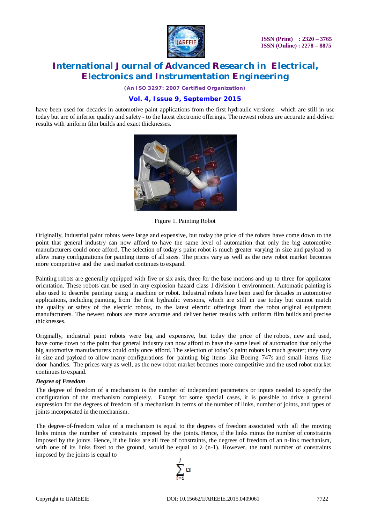

*(An ISO 3297: 2007 Certified Organization)*

### **Vol. 4, Issue 9, September 2015**

have been used for decades in automotive paint applications from the first hydraulic versions - which are still in use today but are of inferior quality and safety - to the latest electronic offerings. The newest robots are accurate and deliver results with uniform film builds and exact thicknesses.



Figure 1. Painting Robot

Originally, industrial paint robots were large and expensive, but today the price of the robots have come down to the point that general industry can now afford to have the same level of automation that only the big automotive manufacturers could once afford. The selection of today's paint robot is much greater varying in size and payload to allow many configurations for painting items of all sizes. The prices vary as well as the new robot market becomes more competitive and the used market continues to expand.

Painting robots are generally equipped with five or six axis, three for the base motions and up to three for applicator orientation. These robots can be used in any explosion hazard class 1 division 1 environment. Automatic painting is also used to describe painting using a machine or robot. Industrial robots have been used for decades in automotive applications, including painting, from the first hydraulic versions, which are still in use today but cannot match the quality or safety of the electric robots, to the latest electric offerings from the robot original equipment manufacturers. The newest robots are more accurate and deliver better results with uniform film builds and precise thicknesses.

Originally, industrial paint robots were big and expensive, but today the price of the robots, new and used, have come down to the point that general industry can now afford to have the same level of automation that only the big automotive manufacturers could only once afford. The selection of today's paint robots is much greater; they vary in size and payload to allow many configurations for painting big items like Boeing 747s and small items like door handles. The prices vary as well, as the new robot market becomes more competitive and the used robot market continues to expand.

#### *Degree of Freedom*

The degree of freedom of a mechanism is the number of independent parameters or inputs needed to specify the configuration of the mechanism completely. Except for some special cases, it is possible to drive a general expression for the degrees of freedom of a mechanism in terms of the number of links, number of joints, and types of joints incorporated in the mechanism.

The degree-of-freedom value of a mechanism is equal to the degrees of freedom associated with all the moving links minus the number of constraints imposed by the joints. Hence, if the links minus the number of constraints imposed by the joints. Hence, if the links are all free of constraints, the degrees of freedom of an n-link mechanism, with one of its links fixed to the ground, would be equal to  $\lambda$  (n-1). However, the total number of constraints imposed by the joints is equal to

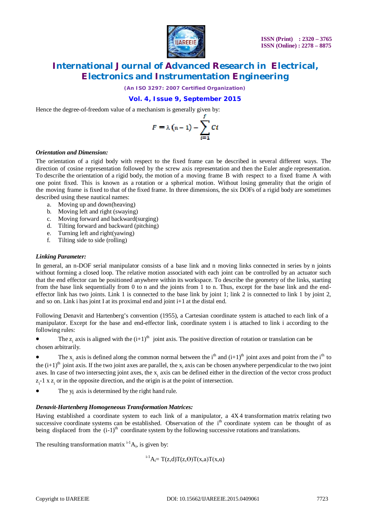

*(An ISO 3297: 2007 Certified Organization)*

### **Vol. 4, Issue 9, September 2015**

Hence the degree-of-freedom value of a mechanism is generally given by:

$$
F=\lambda\left(n-1\right)-\sum_{i=1}^{\prime}Ci
$$

#### *Orientation and Dimension:*

The orientation of a rigid body with respect to the fixed frame can be described in several different ways. The direction of cosine representation followed by the screw axis representation and then the Euler angle representation. To describe the orientation of a rigid body, the motion of a moving frame B with respect to a fixed frame A with one point fixed. This is known as a rotation or a spherical motion. Without losing generality that the origin of the moving frame is fixed to that of the fixed frame. In three dimensions, the six DOFs of a rigid body are sometimes described using these nautical names:

- a. Moving up and down(heaving)
- b. Moving left and right (swaying)
- c. Moving forward and backward(surging)
- d. Tilting forward and backward (pitching)
- e. Turning left and right(yawing)
- f. Tilting side to side (rolling)

#### *Linking Parameter:*

In general, an n-DOF serial manipulator consists of a base link and n moving links connected in series by n joints without forming a closed loop. The relative motion associated with each joint can be controlled by an actuator such that the end effector can be positioned anywhere within its workspace. To describe the geometry of the links, starting from the base link sequentially from 0 to n and the joints from 1 to n. Thus, except for the base link and the endeffector link has two joints. Link 1 is connected to the base link by joint 1; link 2 is connected to link 1 by joint 2, and so on. Link i has joint I at its proximal end and joint i+1 at the distal end.

Following Denavit and Hartenberg's convention (1955), a Cartesian coordinate system is attached to each link of a manipulator. Except for the base and end-effector link, coordinate system i is attached to link i according to the following rules:

• The  $z_i$  axis is aligned with the  $(i+1)^{th}$  joint axis. The positive direction of rotation or translation can be chosen arbitrarily.

• The  $x_i$  axis is defined along the common normal between the i<sup>th</sup> and  $(i+1)$ <sup>th</sup> joint axes and point from the i<sup>th</sup> to the  $(i+1)^{th}$  joint axis. If the two joint axes are parallel, the  $x_i$  axis can be chosen anywhere perpendicular to the two joint axes. In case of two intersecting joint axes, the  $x_i$  axis can be defined either in the direction of the vector cross product  $z_i$ -1 x  $z_i$  or in the opposite direction, and the origin is at the point of intersection.

The y<sub>i</sub> axis is determined by the right hand rule.

#### *Denavit-Hartenberg Homogeneous Transformation Matrices:*

Having established a coordinate system to each link of a manipulator, a 4X4 transformation matrix relating two successive coordinate systems can be established. Observation of the i<sup>th</sup> coordinate system can be thought of as being displaced from the  $(i-1)$ <sup>th</sup> coordinate system by the following successive rotations and translations.

The resulting transformation matrix  $i^{-1}A_i$ , is given by:

 $i^{-1}A_i = T(z,d)T(z,\Theta)T(x,a)T(x,\alpha)$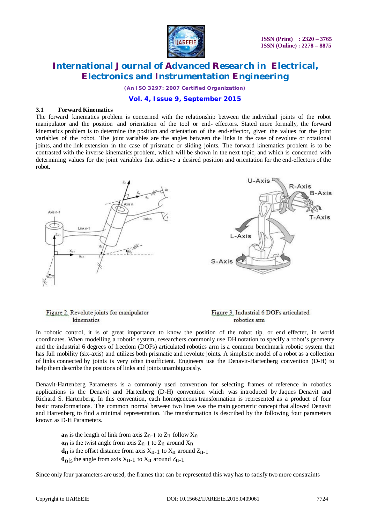

*(An ISO 3297: 2007 Certified Organization)*

#### **Vol. 4, Issue 9, September 2015**

#### **3.1 Forward Kinematics**

The forward kinematics problem is concerned with the relationship between the individual joints of the robot manipulator and the position and orientation of the tool or end- effectors. Stated more formally, the forward kinematics problem is to determine the position and orientation of the end-effector, given the values for the joint variables of the robot. The joint variables are the angles between the links in the case of revolute or rotational joints, and the link extension in the case of prismatic or sliding joints. The forward kinematics problem is to be contrasted with the inverse kinematics problem, which will be shown in the next topic, and which is concerned with determining values for the joint variables that achieve a desired position and orientation for the end-effectors of the robot.



#### Figure 2. Revolute joints for manipulator kinematics

#### Figure 3. Industrial 6 DOFs articulated robotics arm

In robotic control, it is of great importance to know the position of the robot tip, or end effecter, in world coordinates. When modelling a robotic system, researchers commonly use DH notation to specify a robot's geometry and the industrial 6 degrees of freedom (DOFs) articulated robotics arm is a common benchmark robotic system that has full mobility (six-axis) and utilizes both prismatic and revolute joints. A simplistic model of a robot as a collection of links connected by joints is very often insufficient. Engineers use the Denavit-Hartenberg convention (D-H) to help them describe the positions of links and joints unambiguously.

Denavit-Hartenberg Parameters is a commonly used convention for selecting frames of reference in robotics applications is the Denavit and Hartenberg (D-H) convention which was introduced by Jaques Denavit and Richard S. Hartenberg. In this convention, each homogeneous transformation is represented as a product of four basic transformations. The common normal between two lines was the main geometric concept that allowed Denavit and Hartenberg to find a minimal representation. The transformation is described by the following four parameters known as D-H Parameters.

**an** is the length of link from axis  $Z_{n-1}$  to  $Z_n$  follow  $X_n$  $\alpha$ **n** is the twist angle from axis  $Z_{n-1}$  to  $Z_n$  around  $X_n$  $d_n$  is the offset distance from axis  $X_{n-1}$  to  $X_n$  around  $Z_{n-1}$  $\theta_n$  is the angle from axis  $X_{n-1}$  to  $X_n$  around  $Z_{n-1}$ 

Since only four parameters are used, the frames that can be represented this way has to satisfy two more constraints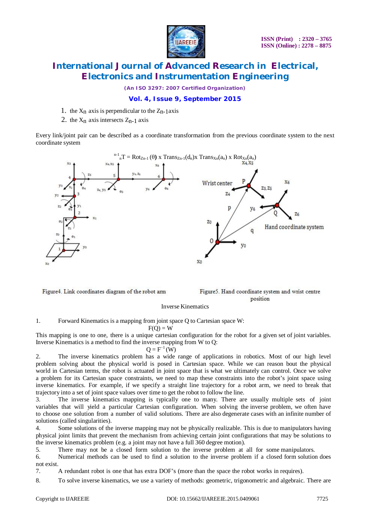

*(An ISO 3297: 2007 Certified Organization)*

### **Vol. 4, Issue 9, September 2015**

- 1. the  $X_n$  axis is perpendicular to the  $Z_n$ -1axis
- 2. the  $X_n$  axis intersects  $Z_{n-1}$  axis

Every link/joint pair can be described as a coordinate transformation from the previous coordinate system to the next coordinate system



Figure4. Link coordinates diagram of the robot arm

Figure5. Hand coordinate system and wrist centre position

#### Inverse Kinematics

1. Forward Kinematics is a mapping from joint space Q to Cartesian space W:

 $F(Q) = W$ 

This mapping is one to one, there is a unique cartesian configuration for the robot for a given set of joint variables. Inverse Kinematics is a method to find the inverse mapping from W to Q:

 $Q = F^{-1}(W)$ 

2. The inverse kinematics problem has a wide range of applications in robotics. Most of our high level problem solving about the physical world is posed in Cartesian space. While we can reason bout the physical world in Cartesian terms, the robot is actuated in joint space that is what we ultimately can control. Once we solve a problem for its Cartesian space constraints, we need to map these constraints into the robot's joint space using inverse kinematics. For example, if we specify a straight line trajectory for a robot arm, we need to break that trajectory into a set of joint space values over time to get the robot to follow the line.

3. The inverse kinematics mapping is typically one to many. There are usually multiple sets of joint variables that will yield a particular Cartesian configuration. When solving the inverse problem, we often have to choose one solution from a number of valid solutions. There are also degenerate cases with an infinite number of solutions (called singularities).

4. Some solutions of the inverse mapping may not be physically realizable. This is due to manipulators having physical joint limits that prevent the mechanism from achieving certain joint configurations that may be solutions to the inverse kinematics problem (e.g. a joint may not have a full 360 degree motion).

5. There may not be a closed form solution to the inverse problem at all for some manipulators.

6. Numerical methods can be used to find a solution to the inverse problem if a closed form solution does not exist.

7. A redundant robot is one that has extra DOF's (more than the space the robot works in requires).

8. To solve inverse kinematics, we use a variety of methods: geometric, trigonometric and algebraic. There are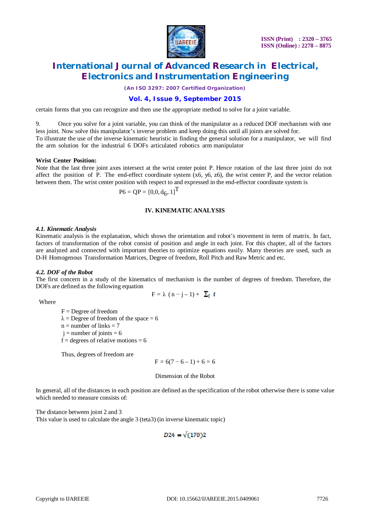

*(An ISO 3297: 2007 Certified Organization)*

### **Vol. 4, Issue 9, September 2015**

certain forms that you can recognize and then use the appropriate method to solve for a joint variable.

9. Once you solve for a joint variable, you can think of the manipulator as a reduced DOF mechanism with one less joint. Now solve this manipulator's inverse problem and keep doing this until all joints are solved for. To illustrate the use of the inverse kinematic heuristic in finding the general solution for a manipulator, we will find the arm solution for the industrial 6 DOFs articulated robotics arm manipulator

#### **Wrist Center Position:**

Note that the last three joint axes intersect at the wrist center point P. Hence rotation of the last three joint do not affect the position of P. The end-effect coordinate system  $(x6, y6, z6)$ , the wrist center P, and the vector relation between them. The wrist center position with respect to and expressed in the end-effector coordinate system is

$$
P6 = QP = [0,0,d_6,1]^T
$$

#### **IV. KINEMATICANALYSIS**

#### *4.1. Kinematic Analysis*

Kinematic analysis is the explanation, which shows the orientation and robot's movement in term of matrix. In fact, factors of transformation of the robot consist of position and angle in each joint. For this chapter, all of the factors are analyzed and connected with important theories to optimize equations easily. Many theories are used, such as D-H Homogenous Transformation Matrices, Degree of freedom, Roll Pitch and Raw Metric and etc.

#### *4.2. DOF of the Robot*

The first concern in a study of the kinematics of mechanism is the number of degrees of freedom. Therefore, the DOFs are defined as the following equation

$$
F = \lambda (n-j-1) + \sum_i f
$$

Where

 $F =$ Degree of freedom  $\lambda$  = Degree of freedom of the space = 6  $n =$  number of links  $= 7$  $i =$  number of joints = 6  $f =$  degrees of relative motions = 6

Thus, degrees of freedom are

$$
F = 6(7 - 6 - 1) + 6 = 6
$$

#### Dimension of the Robot

In general, all of the distances in each position are defined as the specification of the robot otherwise there is some value which needed to measure consists of:

The distance between joint 2 and 3 This value is used to calculate the angle 3 (teta3) (in inverse kinematic topic)

$$
D24 = \sqrt{(170)}2
$$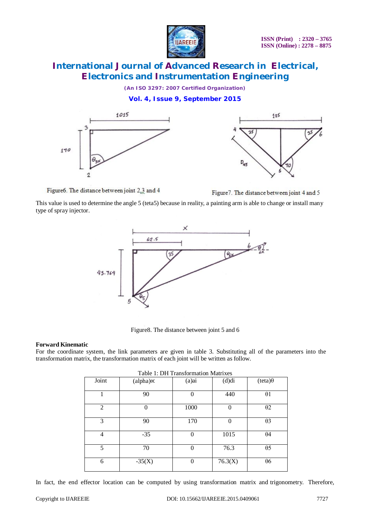

*(An ISO 3297: 2007 Certified Organization)*

**Vol. 4, Issue 9, September 2015**





Figure6. The distance between joint 2.3 and 4

Figure 7. The distance between joint 4 and 5

This value is used to determine the angle 5 (teta5) because in reality, a painting arm is able to change or install many type of spray injector.



Figure8. The distance between joint 5 and 6

#### **Forward Kinematic**

For the coordinate system, the link parameters are given in table 3. Substituting all of the parameters into the transformation matrix, the transformation matrix of each joint will be written as follow.

| Table 1: DH Transformation Matrixes |                   |          |          |                |  |  |  |
|-------------------------------------|-------------------|----------|----------|----------------|--|--|--|
| Joint                               | $(alpha) \propto$ | $(a)$ ai | (d)di    | $(teta)\theta$ |  |  |  |
|                                     | 90                | 0        | 440      | $\theta$ 1     |  |  |  |
| $\overline{2}$                      | $\theta$          | 1000     | 0        | $\theta$ 2     |  |  |  |
| 3                                   | 90                | 170      | $\Omega$ | $\theta$ 3     |  |  |  |
| $\overline{4}$                      | $-35$             | $\Omega$ | 1015     | $\theta$ 4     |  |  |  |
| 5                                   | 70                | 0        | 76.3     | $\theta$ 5     |  |  |  |
| 6                                   | $-35(X)$          | 0        | 76.3(X)  | $\theta$ 6     |  |  |  |

In fact, the end effector location can be computed by using transformation matrix and trigonometry. Therefore,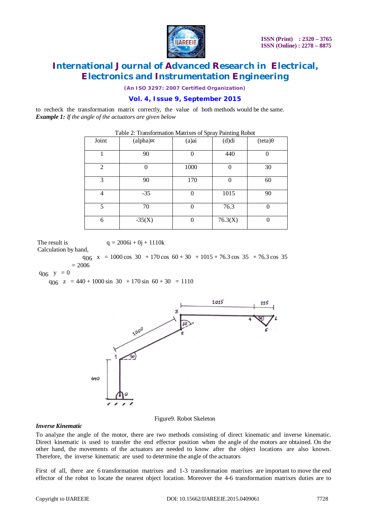

*(An ISO 3297: 2007 Certified Organization)*

### **Vol. 4, Issue 9, September 2015**

to recheck the transformation matrix correctly, the value of both methods would be the same. *Example 1: If the angle of the actuators are given below*

| Joint          | $(alpha) \propto$ | (a)ai        | (d)di   | $(teta)\theta$ |
|----------------|-------------------|--------------|---------|----------------|
|                | 90                | $\mathbf{0}$ | 440     |                |
| $\overline{2}$ |                   | 1000         |         | 30             |
| 3              | 90                | 170          |         | 60             |
| $\overline{4}$ | $-35$             | 0            | 1015    | 90             |
| 5              | 70                | 0            | 76.3    | 0              |
| 6              | $-35(X)$          | 0            | 76.3(X) |                |

| Table 2: Transformation Matrixes of Spray Painting Robot |  |  |
|----------------------------------------------------------|--|--|
|                                                          |  |  |

The result is  $q = 2006i + 0j + 1110k$ 

Calculation by hand,

 $q_{06}$  x = 1000 cos 30 + 170 cos 60 + 30 + 1015 + 76.3 cos 35 + 76.3 cos 35  $= 2006$ 

 $q_{06}$  y = 0

 $q_{06}$  z = 440 + 1000 sin 30 + 170 sin 60 + 30 = 1110



#### Figure9. Robot Skeleton

#### *Inverse Kinematic*

To analyze the angle of the motor, there are two methods consisting of direct kinematic and inverse kinematic. Direct kinematic is used to transfer the end effector position when the angle of the motors are obtained. On the other hand, the movements of the actuators are needed to know after the object locations are also known. Therefore, the inverse kinematic are used to determine the angle of the actuators

First of all, there are 6 transformation matrixes and 1-3 transformation matrixes are important to move the end effector of the robot to locate the nearest object location. Moreover the 4-6 transformation matrixes duties are to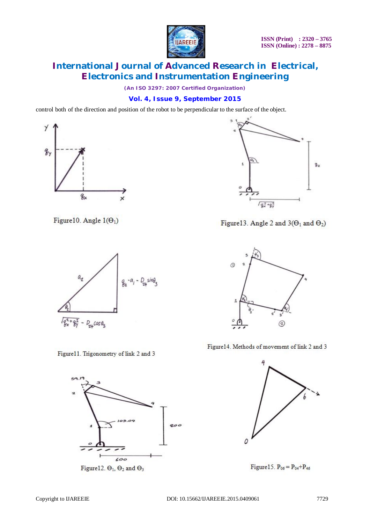

*(An ISO 3297: 2007 Certified Organization)*

### **Vol. 4, Issue 9, September 2015**

control both of the direction and position of the robot to be perpendicular to the surface of the object.



Figure 10. Angle  $1(\Theta_1)$ 



Figure 11. Trigonometry of link 2 and 3



Figure12.  $\Theta_1$ ,  $\Theta_2$  and  $\Theta_3$ 



Figure 13. Angle 2 and  $3(\Theta_1$  and  $\Theta_2)$ 



Figure 14. Methods of movement of link 2 and 3



Figure 15.  $P_{06} = P_{04} + P_{46}$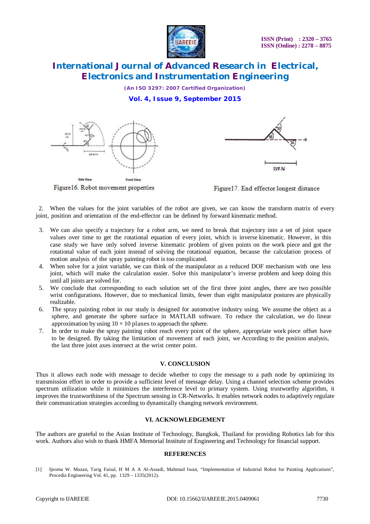

*(An ISO 3297: 2007 Certified Organization)* **Vol. 4, Issue 9, September 2015**



Figure 16. Robot movement properties



Figure17. End effector longest distance

 2. When the values for the joint variables of the robot are given, we can know the transform matrix of every joint, position and orientation of the end-effector can be defined by forward kinematic method.

- 3. We can also specify a trajectory for a robot arm, we need to break that trajectory into a set of joint space values over time to get the rotational equation of every joint, which is inverse kinematic. However, in this case study we have only solved inverse kinematic problem of given points on the work piece and got the rotational value of each joint instead of solving the rotational equation, because the calculation process of motion analysis of the spray painting robot is too complicated.
- 4. When solve for a joint variable, we can think of the manipulator as a reduced DOF mechanism with one less joint, which will make the calculation easier. Solve this manipulator's inverse problem and keep doing this until all joints are solved for.
- 5. We conclude that corresponding to each solution set of the first three joint angles, there are two possible wrist configurations. However, due to mechanical limits, fewer than eight manipulator postures are physically realizable.
- 6. The spray painting robot in our study is designed for automotive industry using. We assume the object as a sphere, and generate the sphere surface in MATLAB software. To reduce the calculation, we do linear approximation by using  $10 \times 10$  planes to approach the sphere.
- 7. In order to make the spray painting robot reach every point of the sphere, appropriate work piece offset have to be designed. By taking the limitation of movement of each joint, we According to the position analysis, the last three joint axes intersect at the wrist center point.

#### **V. CONCLUSION**

Thus it allows each node with message to decide whether to copy the message to a path node by optimizing its transmission effort in order to provide a sufficient level of message delay. Using a channel selection scheme provides spectrum utilization while it minimizes the interference level to primary system. Using trustworthy algorithm, it improves the trustworthiness of the Spectrum sensing in CR-Networks. It enables network nodes to adaptively regulate their communication strategies according to dynamically changing network environment.

#### **VI. ACKNOWLEDGEMENT**

The authors are grateful to the Asian Institute of Technology, Bangkok, Thailand for providing Robotics lab for this work. Authors also wish to thank HMFA Memorial Institute of Engineering and Technology for financial support.

#### **REFERENCES**

[1] Ijeoma W. Muzan, Tarig Faisal, H M A A Al-Assadi, Mahmud Iwan, "Implementation of Industrial Robot for Painting Applications", Procedia Engineering Vol. 41, pp. 1329 – 1335(2012).